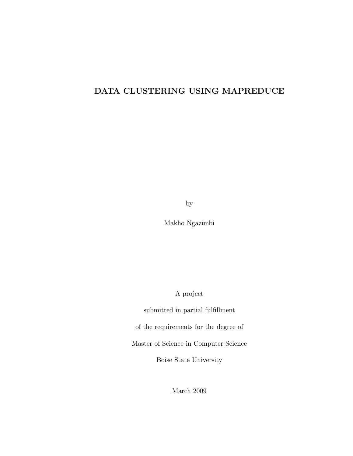# DATA CLUSTERING USING MAPREDUCE

by

Makho Ngazimbi

A project

submitted in partial fulfillment of the requirements for the degree of Master of Science in Computer Science

Boise State University

March 2009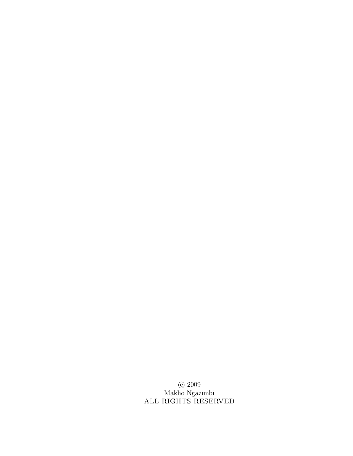c 2009 Makho Ngazimbi ALL RIGHTS RESERVED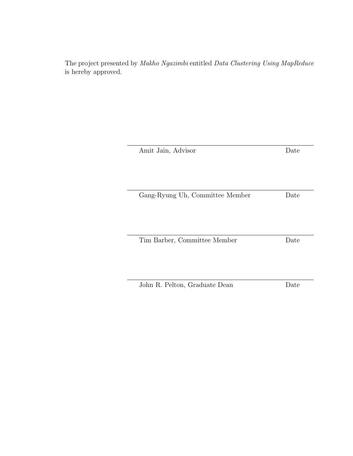The project presented by Makho Ngazimbi entitled Data Clustering Using MapReduce is hereby approved.

| Amit Jain, Advisor              | Date |
|---------------------------------|------|
|                                 |      |
|                                 |      |
|                                 |      |
| Gang-Ryung Uh, Committee Member | Date |
|                                 |      |
|                                 |      |
| Tim Barber, Committee Member    | Date |
|                                 |      |
|                                 |      |
|                                 |      |
| John R. Pelton, Graduate Dean   | Date |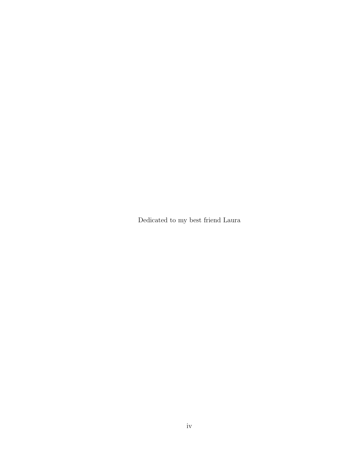Dedicated to my best friend Laura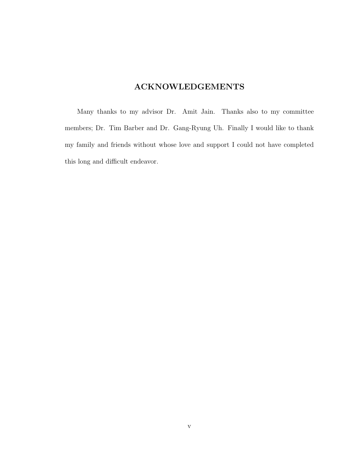# ACKNOWLEDGEMENTS

Many thanks to my advisor Dr. Amit Jain. Thanks also to my committee members; Dr. Tim Barber and Dr. Gang-Ryung Uh. Finally I would like to thank my family and friends without whose love and support I could not have completed this long and difficult endeavor.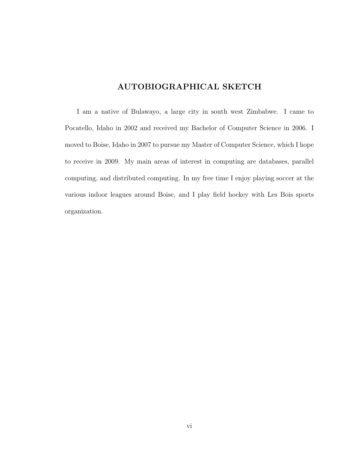# AUTOBIOGRAPHICAL SKETCH

I am a native of Bulawayo, a large city in south west Zimbabwe. I came to Pocatello, Idaho in 2002 and received my Bachelor of Computer Science in 2006. I moved to Boise, Idaho in 2007 to pursue my Master of Computer Science, which I hope to receive in 2009. My main areas of interest in computing are databases, parallel computing, and distributed computing. In my free time I enjoy playing soccer at the various indoor leagues around Boise, and I play field hockey with Les Bois sports organization.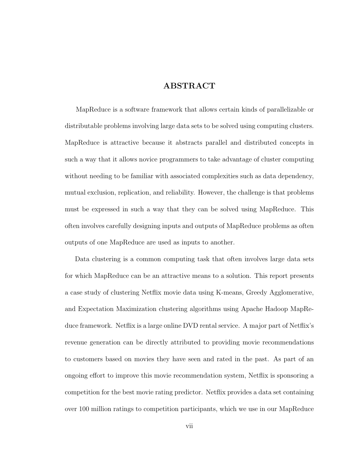## ABSTRACT

MapReduce is a software framework that allows certain kinds of parallelizable or distributable problems involving large data sets to be solved using computing clusters. MapReduce is attractive because it abstracts parallel and distributed concepts in such a way that it allows novice programmers to take advantage of cluster computing without needing to be familiar with associated complexities such as data dependency, mutual exclusion, replication, and reliability. However, the challenge is that problems must be expressed in such a way that they can be solved using MapReduce. This often involves carefully designing inputs and outputs of MapReduce problems as often outputs of one MapReduce are used as inputs to another.

Data clustering is a common computing task that often involves large data sets for which MapReduce can be an attractive means to a solution. This report presents a case study of clustering Netflix movie data using K-means, Greedy Agglomerative, and Expectation Maximization clustering algorithms using Apache Hadoop MapReduce framework. Netflix is a large online DVD rental service. A major part of Netflix's revenue generation can be directly attributed to providing movie recommendations to customers based on movies they have seen and rated in the past. As part of an ongoing effort to improve this movie recommendation system, Netflix is sponsoring a competition for the best movie rating predictor. Netflix provides a data set containing over 100 million ratings to competition participants, which we use in our MapReduce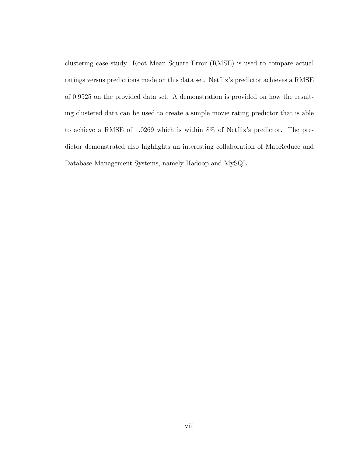clustering case study. Root Mean Square Error (RMSE) is used to compare actual ratings versus predictions made on this data set. Netflix's predictor achieves a RMSE of 0.9525 on the provided data set. A demonstration is provided on how the resulting clustered data can be used to create a simple movie rating predictor that is able to achieve a RMSE of 1.0269 which is within 8% of Netflix's predictor. The predictor demonstrated also highlights an interesting collaboration of MapReduce and Database Management Systems, namely Hadoop and MySQL.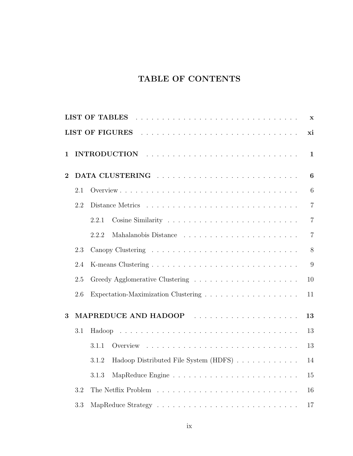# TABLE OF CONTENTS

|          |     |                                                | $\mathbf X$      |
|----------|-----|------------------------------------------------|------------------|
|          |     |                                                | xi               |
| 1        |     |                                                | $\mathbf{1}$     |
| $\bf{2}$ |     |                                                | $\boldsymbol{6}$ |
|          | 2.1 |                                                | 6                |
|          | 2.2 |                                                | $\overline{7}$   |
|          |     | 2.2.1                                          | $\overline{7}$   |
|          |     | 2.2.2                                          | $\overline{7}$   |
|          | 2.3 |                                                | 8                |
|          | 2.4 |                                                | 9                |
|          | 2.5 |                                                | 10               |
|          | 2.6 |                                                | 11               |
| 3        |     | MAPREDUCE AND HADOOP                           | 13               |
|          | 3.1 |                                                | 13               |
|          |     | 3.1.1                                          | 13               |
|          |     | Hadoop Distributed File System (HDFS)<br>3.1.2 | 14               |
|          |     | 3.1.3                                          | 15               |
|          | 3.2 |                                                | 16               |
|          | 3.3 |                                                | $17\,$           |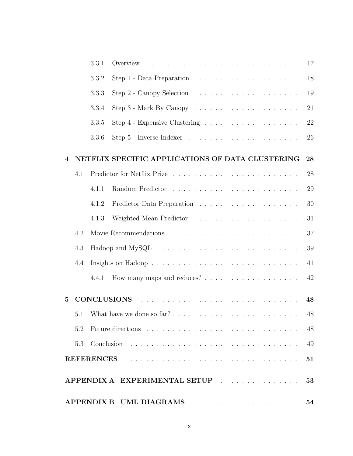|                         |     | 3.3.1             |                                                                                                                                                                                                                                      | 17 |
|-------------------------|-----|-------------------|--------------------------------------------------------------------------------------------------------------------------------------------------------------------------------------------------------------------------------------|----|
|                         |     | 3.3.2             | Step 1 - Data Preparation $\ldots \ldots \ldots \ldots \ldots \ldots \ldots$                                                                                                                                                         | 18 |
|                         |     | 3.3.3             |                                                                                                                                                                                                                                      | 19 |
|                         |     | 3.3.4             |                                                                                                                                                                                                                                      | 21 |
|                         |     | 3.3.5             |                                                                                                                                                                                                                                      | 22 |
|                         |     | 3.3.6             |                                                                                                                                                                                                                                      | 26 |
| $\overline{\mathbf{4}}$ |     |                   | NETFLIX SPECIFIC APPLICATIONS OF DATA CLUSTERING                                                                                                                                                                                     | 28 |
|                         | 4.1 |                   |                                                                                                                                                                                                                                      | 28 |
|                         |     | 4.1.1             |                                                                                                                                                                                                                                      | 29 |
|                         |     | 4.1.2             |                                                                                                                                                                                                                                      | 30 |
|                         |     | 4.1.3             |                                                                                                                                                                                                                                      | 31 |
|                         | 4.2 |                   |                                                                                                                                                                                                                                      | 37 |
|                         | 4.3 |                   | $Hadoop$ and $MySQL \ldots \ldots \ldots \ldots \ldots \ldots \ldots \ldots \ldots$                                                                                                                                                  | 39 |
|                         | 4.4 |                   |                                                                                                                                                                                                                                      | 41 |
|                         |     | 4.4.1             |                                                                                                                                                                                                                                      | 42 |
| $\overline{5}$          |     |                   | <b>CONCLUSIONS</b>                                                                                                                                                                                                                   | 48 |
|                         | 5.1 |                   |                                                                                                                                                                                                                                      | 48 |
|                         | 5.2 |                   |                                                                                                                                                                                                                                      | 48 |
|                         | 5.3 |                   |                                                                                                                                                                                                                                      | 49 |
|                         |     | <b>REFERENCES</b> | <u>. The contract of the contract of the contract of the contract of the contract of the contract of the contract of the contract of the contract of the contract of the contract of the contract of the contract of the contrac</u> | 51 |
|                         |     |                   | APPENDIX A EXPERIMENTAL SETUP                                                                                                                                                                                                        | 53 |
|                         |     |                   | APPENDIX B UML DIAGRAMS                                                                                                                                                                                                              | 54 |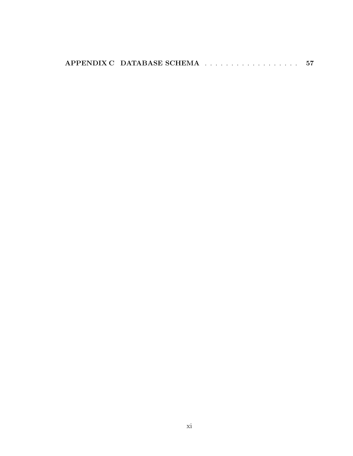| APPENDIX C DATABASE SCHEMA |
|----------------------------|
|----------------------------|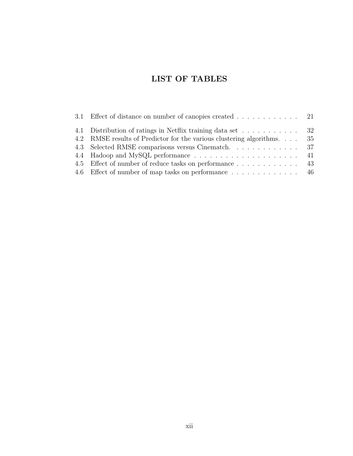# LIST OF TABLES

| 3.1 Effect of distance on number of canopies created 21                |  |
|------------------------------------------------------------------------|--|
| 4.1 Distribution of ratings in Netflix training data set 32            |  |
| 4.2 RMSE results of Predictor for the various clustering algorithms 35 |  |
|                                                                        |  |
|                                                                        |  |
| 4.5 Effect of number of reduce tasks on performance 43                 |  |
| 4.6 Effect of number of map tasks on performance  46                   |  |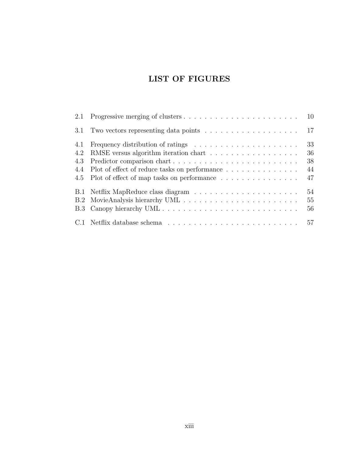# LIST OF FIGURES

|     | 3.1 Two vectors representing data points $\ldots \ldots \ldots \ldots \ldots \ldots \ldots$ 17 |    |
|-----|------------------------------------------------------------------------------------------------|----|
| 4.1 |                                                                                                | 33 |
| 4.2 |                                                                                                | 36 |
| 4.3 |                                                                                                | 38 |
| 4.4 | Plot of effect of reduce tasks on performance                                                  | 44 |
|     | 4.5 Plot of effect of map tasks on performance                                                 | 47 |
|     |                                                                                                | 54 |
|     |                                                                                                | 55 |
|     |                                                                                                | 56 |
|     |                                                                                                |    |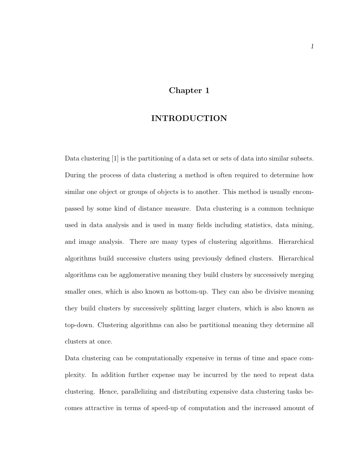## Chapter 1

## INTRODUCTION

Data clustering [1] is the partitioning of a data set or sets of data into similar subsets. During the process of data clustering a method is often required to determine how similar one object or groups of objects is to another. This method is usually encompassed by some kind of distance measure. Data clustering is a common technique used in data analysis and is used in many fields including statistics, data mining, and image analysis. There are many types of clustering algorithms. Hierarchical algorithms build successive clusters using previously defined clusters. Hierarchical algorithms can be agglomerative meaning they build clusters by successively merging smaller ones, which is also known as bottom-up. They can also be divisive meaning they build clusters by successively splitting larger clusters, which is also known as top-down. Clustering algorithms can also be partitional meaning they determine all clusters at once.

Data clustering can be computationally expensive in terms of time and space complexity. In addition further expense may be incurred by the need to repeat data clustering. Hence, parallelizing and distributing expensive data clustering tasks becomes attractive in terms of speed-up of computation and the increased amount of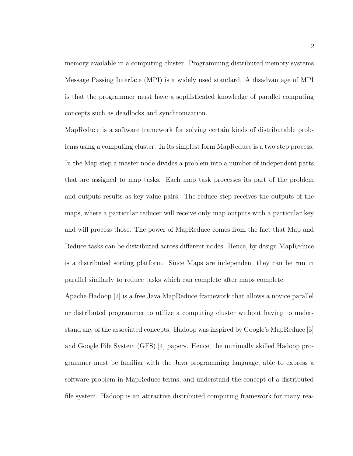memory available in a computing cluster. Programming distributed memory systems Message Passing Interface (MPI) is a widely used standard. A disadvantage of MPI is that the programmer must have a sophisticated knowledge of parallel computing concepts such as deadlocks and synchronization.

MapReduce is a software framework for solving certain kinds of distributable problems using a computing cluster. In its simplest form MapReduce is a two step process. In the Map step a master node divides a problem into a number of independent parts that are assigned to map tasks. Each map task processes its part of the problem and outputs results as key-value pairs. The reduce step receives the outputs of the maps, where a particular reducer will receive only map outputs with a particular key and will process those. The power of MapReduce comes from the fact that Map and Reduce tasks can be distributed across different nodes. Hence, by design MapReduce is a distributed sorting platform. Since Maps are independent they can be run in parallel similarly to reduce tasks which can complete after maps complete.

Apache Hadoop [2] is a free Java MapReduce framework that allows a novice parallel or distributed programmer to utilize a computing cluster without having to understand any of the associated concepts. Hadoop was inspired by Google's MapReduce [3] and Google File System (GFS) [4] papers. Hence, the minimally skilled Hadoop programmer must be familiar with the Java programming language, able to express a software problem in MapReduce terms, and understand the concept of a distributed file system. Hadoop is an attractive distributed computing framework for many rea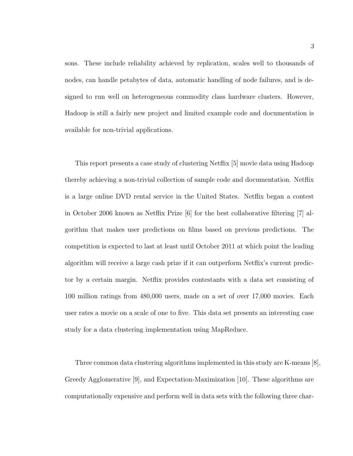sons. These include reliability achieved by replication, scales well to thousands of nodes, can handle petabytes of data, automatic handling of node failures, and is designed to run well on heterogeneous commodity class hardware clusters. However, Hadoop is still a fairly new project and limited example code and documentation is available for non-trivial applications.

This report presents a case study of clustering Netflix [5] movie data using Hadoop thereby achieving a non-trivial collection of sample code and documentation. Netflix is a large online DVD rental service in the United States. Netflix began a contest in October 2006 known as Netflix Prize [6] for the best collaborative filtering [7] algorithm that makes user predictions on films based on previous predictions. The competition is expected to last at least until October 2011 at which point the leading algorithm will receive a large cash prize if it can outperform Netflix's current predictor by a certain margin. Netflix provides contestants with a data set consisting of 100 million ratings from 480,000 users, made on a set of over 17,000 movies. Each user rates a movie on a scale of one to five. This data set presents an interesting case study for a data clustering implementation using MapReduce.

Three common data clustering algorithms implemented in this study are K-means [8], Greedy Agglomerative [9], and Expectation-Maximization [10]. These algorithms are computationally expensive and perform well in data sets with the following three char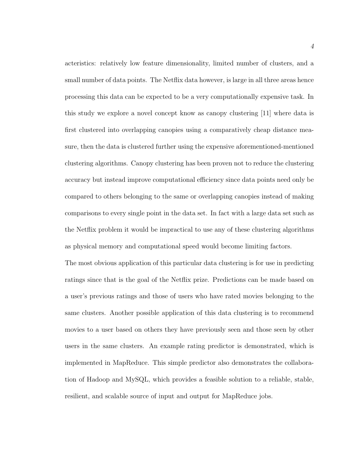acteristics: relatively low feature dimensionality, limited number of clusters, and a small number of data points. The Netflix data however, is large in all three areas hence processing this data can be expected to be a very computationally expensive task. In this study we explore a novel concept know as canopy clustering [11] where data is first clustered into overlapping canopies using a comparatively cheap distance measure, then the data is clustered further using the expensive aforementioned-mentioned clustering algorithms. Canopy clustering has been proven not to reduce the clustering accuracy but instead improve computational efficiency since data points need only be compared to others belonging to the same or overlapping canopies instead of making comparisons to every single point in the data set. In fact with a large data set such as the Netflix problem it would be impractical to use any of these clustering algorithms as physical memory and computational speed would become limiting factors.

The most obvious application of this particular data clustering is for use in predicting ratings since that is the goal of the Netflix prize. Predictions can be made based on a user's previous ratings and those of users who have rated movies belonging to the same clusters. Another possible application of this data clustering is to recommend movies to a user based on others they have previously seen and those seen by other users in the same clusters. An example rating predictor is demonstrated, which is implemented in MapReduce. This simple predictor also demonstrates the collaboration of Hadoop and MySQL, which provides a feasible solution to a reliable, stable, resilient, and scalable source of input and output for MapReduce jobs.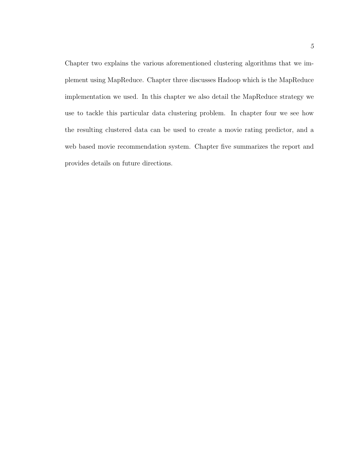Chapter two explains the various aforementioned clustering algorithms that we implement using MapReduce. Chapter three discusses Hadoop which is the MapReduce implementation we used. In this chapter we also detail the MapReduce strategy we use to tackle this particular data clustering problem. In chapter four we see how the resulting clustered data can be used to create a movie rating predictor, and a web based movie recommendation system. Chapter five summarizes the report and provides details on future directions.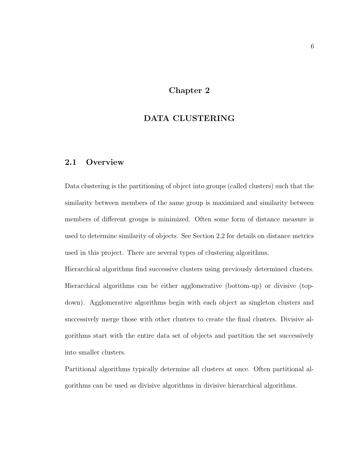# Chapter 2

## DATA CLUSTERING

## 2.1 Overview

Data clustering is the partitioning of object into groups (called clusters) such that the similarity between members of the same group is maximized and similarity between members of different groups is minimized. Often some form of distance measure is used to determine similarity of objects. See Section 2.2 for details on distance metrics used in this project. There are several types of clustering algorithms.

Hierarchical algorithms find successive clusters using previously determined clusters. Hierarchical algorithms can be either agglomerative (bottom-up) or divisive (topdown). Agglomerative algorithms begin with each object as singleton clusters and successively merge those with other clusters to create the final clusters. Divisive algorithms start with the entire data set of objects and partition the set successively into smaller clusters.

Partitional algorithms typically determine all clusters at once. Often partitional algorithms can be used as divisive algorithms in divisive hierarchical algorithms.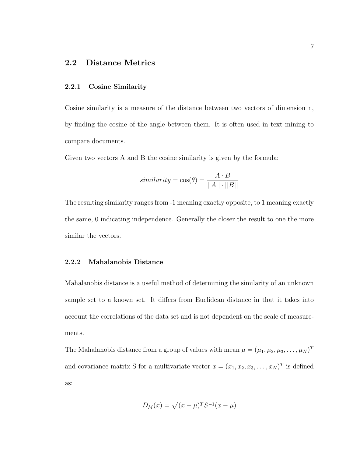## 2.2 Distance Metrics

#### 2.2.1 Cosine Similarity

Cosine similarity is a measure of the distance between two vectors of dimension n, by finding the cosine of the angle between them. It is often used in text mining to compare documents.

Given two vectors A and B the cosine similarity is given by the formula:

$$
similarity = \cos(\theta) = \frac{A \cdot B}{||A|| \cdot ||B||}
$$

The resulting similarity ranges from -1 meaning exactly opposite, to 1 meaning exactly the same, 0 indicating independence. Generally the closer the result to one the more similar the vectors.

#### 2.2.2 Mahalanobis Distance

Mahalanobis distance is a useful method of determining the similarity of an unknown sample set to a known set. It differs from Euclidean distance in that it takes into account the correlations of the data set and is not dependent on the scale of measurements.

The Mahalanobis distance from a group of values with mean  $\mu = (\mu_1, \mu_2, \mu_3, \dots, \mu_N)^T$ and covariance matrix S for a multivariate vector  $x = (x_1, x_2, x_3, \dots, x_N)^T$  is defined as:

$$
D_M(x) = \sqrt{(x-\mu)^T S^{-1}(x-\mu)}
$$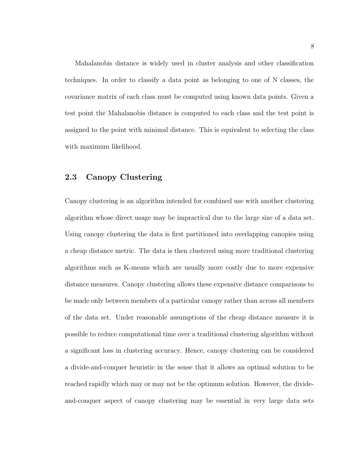Mahalanobis distance is widely used in cluster analysis and other classification techniques. In order to classify a data point as belonging to one of N classes, the covariance matrix of each class must be computed using known data points. Given a test point the Mahalanobis distance is computed to each class and the test point is assigned to the point with minimal distance. This is equivalent to selecting the class with maximum likelihood.

## 2.3 Canopy Clustering

Canopy clustering is an algorithm intended for combined use with another clustering algorithm whose direct usage may be impractical due to the large size of a data set. Using canopy clustering the data is first partitioned into overlapping canopies using a cheap distance metric. The data is then clustered using more traditional clustering algorithms such as K-means which are usually more costly due to more expensive distance measures. Canopy clustering allows these expensive distance comparisons to be made only between members of a particular canopy rather than across all members of the data set. Under reasonable assumptions of the cheap distance measure it is possible to reduce computational time over a traditional clustering algorithm without a significant loss in clustering accuracy. Hence, canopy clustering can be considered a divide-and-conquer heuristic in the sense that it allows an optimal solution to be reached rapidly which may or may not be the optimum solution. However, the divideand-conquer aspect of canopy clustering may be essential in very large data sets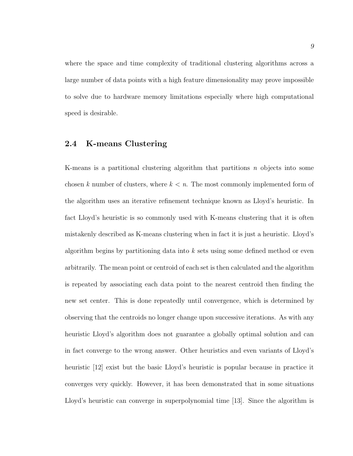where the space and time complexity of traditional clustering algorithms across a large number of data points with a high feature dimensionality may prove impossible to solve due to hardware memory limitations especially where high computational speed is desirable.

## 2.4 K-means Clustering

K-means is a partitional clustering algorithm that partitions  $n$  objects into some chosen k number of clusters, where  $k < n$ . The most commonly implemented form of the algorithm uses an iterative refinement technique known as Lloyd's heuristic. In fact Lloyd's heuristic is so commonly used with K-means clustering that it is often mistakenly described as K-means clustering when in fact it is just a heuristic. Lloyd's algorithm begins by partitioning data into k sets using some defined method or even arbitrarily. The mean point or centroid of each set is then calculated and the algorithm is repeated by associating each data point to the nearest centroid then finding the new set center. This is done repeatedly until convergence, which is determined by observing that the centroids no longer change upon successive iterations. As with any heuristic Lloyd's algorithm does not guarantee a globally optimal solution and can in fact converge to the wrong answer. Other heuristics and even variants of Lloyd's heuristic [12] exist but the basic Lloyd's heuristic is popular because in practice it converges very quickly. However, it has been demonstrated that in some situations Lloyd's heuristic can converge in superpolynomial time [13]. Since the algorithm is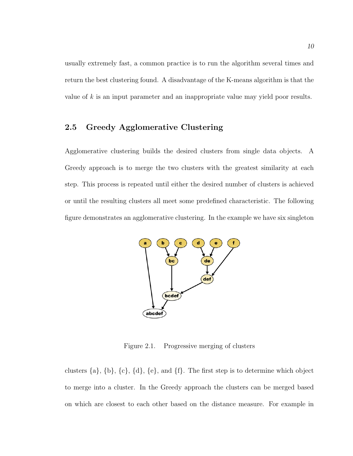usually extremely fast, a common practice is to run the algorithm several times and return the best clustering found. A disadvantage of the K-means algorithm is that the value of k is an input parameter and an inappropriate value may yield poor results.

# 2.5 Greedy Agglomerative Clustering

Agglomerative clustering builds the desired clusters from single data objects. A Greedy approach is to merge the two clusters with the greatest similarity at each step. This process is repeated until either the desired number of clusters is achieved or until the resulting clusters all meet some predefined characteristic. The following figure demonstrates an agglomerative clustering. In the example we have six singleton



Figure 2.1. Progressive merging of clusters

clusters  $\{a\}, \{b\}, \{c\}, \{d\}, \{e\}, \text{ and } \{f\}.$  The first step is to determine which object to merge into a cluster. In the Greedy approach the clusters can be merged based on which are closest to each other based on the distance measure. For example in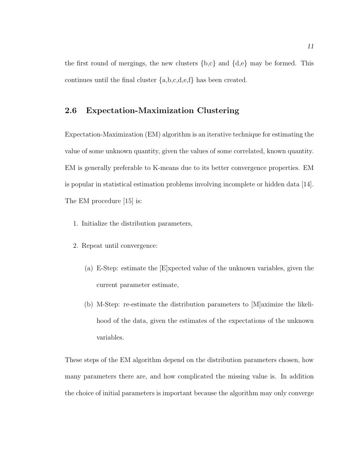the first round of mergings, the new clusters  ${b,c}$  and  ${d,e}$  may be formed. This continues until the final cluster {a,b,c,d,e,f} has been created.

## 2.6 Expectation-Maximization Clustering

Expectation-Maximization (EM) algorithm is an iterative technique for estimating the value of some unknown quantity, given the values of some correlated, known quantity. EM is generally preferable to K-means due to its better convergence properties. EM is popular in statistical estimation problems involving incomplete or hidden data [14]. The EM procedure [15] is:

- 1. Initialize the distribution parameters,
- 2. Repeat until convergence:
	- (a) E-Step: estimate the [E]xpected value of the unknown variables, given the current parameter estimate,
	- (b) M-Step: re-estimate the distribution parameters to [M]aximize the likelihood of the data, given the estimates of the expectations of the unknown variables.

These steps of the EM algorithm depend on the distribution parameters chosen, how many parameters there are, and how complicated the missing value is. In addition the choice of initial parameters is important because the algorithm may only converge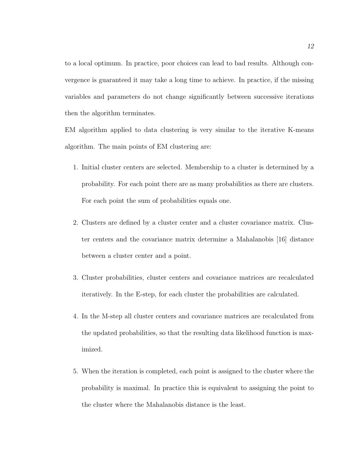to a local optimum. In practice, poor choices can lead to bad results. Although convergence is guaranteed it may take a long time to achieve. In practice, if the missing variables and parameters do not change significantly between successive iterations then the algorithm terminates.

EM algorithm applied to data clustering is very similar to the iterative K-means algorithm. The main points of EM clustering are:

- 1. Initial cluster centers are selected. Membership to a cluster is determined by a probability. For each point there are as many probabilities as there are clusters. For each point the sum of probabilities equals one.
- 2. Clusters are defined by a cluster center and a cluster covariance matrix. Cluster centers and the covariance matrix determine a Mahalanobis [16] distance between a cluster center and a point.
- 3. Cluster probabilities, cluster centers and covariance matrices are recalculated iteratively. In the E-step, for each cluster the probabilities are calculated.
- 4. In the M-step all cluster centers and covariance matrices are recalculated from the updated probabilities, so that the resulting data likelihood function is maximized.
- 5. When the iteration is completed, each point is assigned to the cluster where the probability is maximal. In practice this is equivalent to assigning the point to the cluster where the Mahalanobis distance is the least.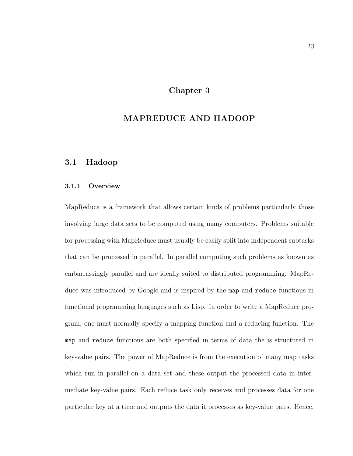## Chapter 3

# MAPREDUCE AND HADOOP

## 3.1 Hadoop

### 3.1.1 Overview

MapReduce is a framework that allows certain kinds of problems particularly those involving large data sets to be computed using many computers. Problems suitable for processing with MapReduce must usually be easily split into independent subtasks that can be processed in parallel. In parallel computing such problems as known as embarrassingly parallel and are ideally suited to distributed programming. MapReduce was introduced by Google and is inspired by the map and reduce functions in functional programming languages such as Lisp. In order to write a MapReduce program, one must normally specify a mapping function and a reducing function. The map and reduce functions are both specified in terms of data the is structured in key-value pairs. The power of MapReduce is from the execution of many map tasks which run in parallel on a data set and these output the processed data in intermediate key-value pairs. Each reduce task only receives and processes data for one particular key at a time and outputs the data it processes as key-value pairs. Hence,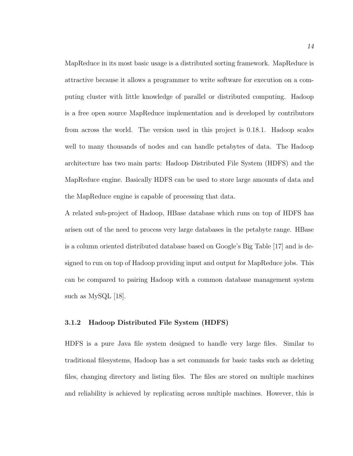MapReduce in its most basic usage is a distributed sorting framework. MapReduce is attractive because it allows a programmer to write software for execution on a computing cluster with little knowledge of parallel or distributed computing. Hadoop is a free open source MapReduce implementation and is developed by contributors from across the world. The version used in this project is 0.18.1. Hadoop scales well to many thousands of nodes and can handle petabytes of data. The Hadoop architecture has two main parts: Hadoop Distributed File System (HDFS) and the MapReduce engine. Basically HDFS can be used to store large amounts of data and the MapReduce engine is capable of processing that data.

A related sub-project of Hadoop, HBase database which runs on top of HDFS has arisen out of the need to process very large databases in the petabyte range. HBase is a column oriented distributed database based on Google's Big Table [17] and is designed to run on top of Hadoop providing input and output for MapReduce jobs. This can be compared to pairing Hadoop with a common database management system such as MySQL [18].

## 3.1.2 Hadoop Distributed File System (HDFS)

HDFS is a pure Java file system designed to handle very large files. Similar to traditional filesystems, Hadoop has a set commands for basic tasks such as deleting files, changing directory and listing files. The files are stored on multiple machines and reliability is achieved by replicating across multiple machines. However, this is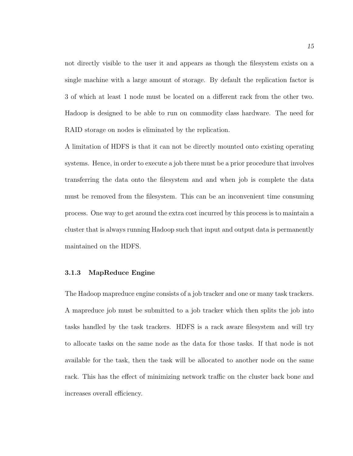not directly visible to the user it and appears as though the filesystem exists on a single machine with a large amount of storage. By default the replication factor is 3 of which at least 1 node must be located on a different rack from the other two. Hadoop is designed to be able to run on commodity class hardware. The need for RAID storage on nodes is eliminated by the replication.

A limitation of HDFS is that it can not be directly mounted onto existing operating systems. Hence, in order to execute a job there must be a prior procedure that involves transferring the data onto the filesystem and and when job is complete the data must be removed from the filesystem. This can be an inconvenient time consuming process. One way to get around the extra cost incurred by this process is to maintain a cluster that is always running Hadoop such that input and output data is permanently maintained on the HDFS.

#### 3.1.3 MapReduce Engine

The Hadoop mapreduce engine consists of a job tracker and one or many task trackers. A mapreduce job must be submitted to a job tracker which then splits the job into tasks handled by the task trackers. HDFS is a rack aware filesystem and will try to allocate tasks on the same node as the data for those tasks. If that node is not available for the task, then the task will be allocated to another node on the same rack. This has the effect of minimizing network traffic on the cluster back bone and increases overall efficiency.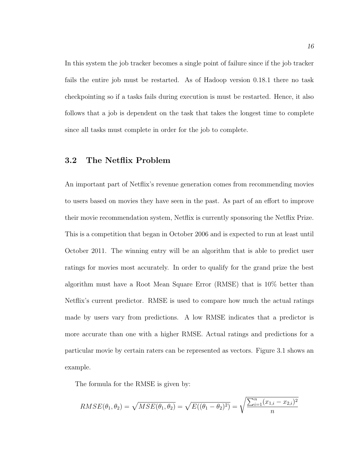In this system the job tracker becomes a single point of failure since if the job tracker fails the entire job must be restarted. As of Hadoop version 0.18.1 there no task checkpointing so if a tasks fails during execution is must be restarted. Hence, it also follows that a job is dependent on the task that takes the longest time to complete since all tasks must complete in order for the job to complete.

## 3.2 The Netflix Problem

An important part of Netflix's revenue generation comes from recommending movies to users based on movies they have seen in the past. As part of an effort to improve their movie recommendation system, Netflix is currently sponsoring the Netflix Prize. This is a competition that began in October 2006 and is expected to run at least until October 2011. The winning entry will be an algorithm that is able to predict user ratings for movies most accurately. In order to qualify for the grand prize the best algorithm must have a Root Mean Square Error (RMSE) that is 10% better than Netflix's current predictor. RMSE is used to compare how much the actual ratings made by users vary from predictions. A low RMSE indicates that a predictor is more accurate than one with a higher RMSE. Actual ratings and predictions for a particular movie by certain raters can be represented as vectors. Figure 3.1 shows an example.

The formula for the RMSE is given by:

$$
RMSE(\theta_1, \theta_2) = \sqrt{MSE(\theta_1, \theta_2)} = \sqrt{E((\theta_1 - \theta_2)^2)} = \sqrt{\frac{\sum_{i=1}^{n} (x_{1,i} - x_{2,i})^2}{n}}
$$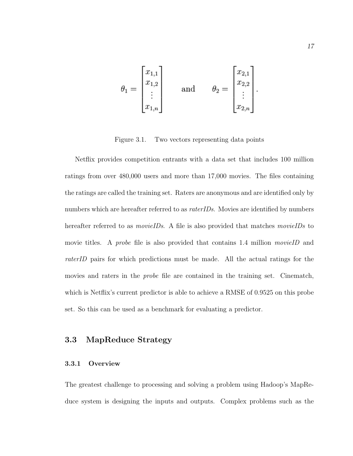$$
\theta_1 = \begin{bmatrix} x_{1,1} \\ x_{1,2} \\ \vdots \\ x_{1,n} \end{bmatrix} \quad \text{and} \quad \theta_2 = \begin{bmatrix} x_{2,1} \\ x_{2,2} \\ \vdots \\ x_{2,n} \end{bmatrix}
$$

Figure 3.1. Two vectors representing data points

Netflix provides competition entrants with a data set that includes 100 million ratings from over 480,000 users and more than 17,000 movies. The files containing the ratings are called the training set. Raters are anonymous and are identified only by numbers which are hereafter referred to as raterIDs. Movies are identified by numbers hereafter referred to as *movieIDs*. A file is also provided that matches *movieIDs* to movie titles. A *probe* file is also provided that contains 1.4 million *movieID* and raterID pairs for which predictions must be made. All the actual ratings for the movies and raters in the probe file are contained in the training set. Cinematch, which is Netflix's current predictor is able to achieve a RMSE of 0.9525 on this probe set. So this can be used as a benchmark for evaluating a predictor.

## 3.3 MapReduce Strategy

#### 3.3.1 Overview

The greatest challenge to processing and solving a problem using Hadoop's MapReduce system is designing the inputs and outputs. Complex problems such as the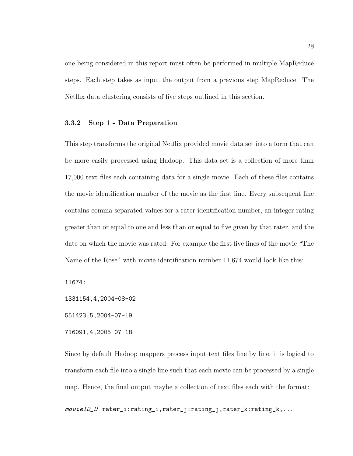one being considered in this report must often be performed in multiple MapReduce steps. Each step takes as input the output from a previous step MapReduce. The Netflix data clustering consists of five steps outlined in this section.

#### 3.3.2 Step 1 - Data Preparation

This step transforms the original Netflix provided movie data set into a form that can be more easily processed using Hadoop. This data set is a collection of more than 17,000 text files each containing data for a single movie. Each of these files contains the movie identification number of the movie as the first line. Every subsequent line contains comma separated values for a rater identification number, an integer rating greater than or equal to one and less than or equal to five given by that rater, and the date on which the movie was rated. For example the first five lines of the movie "The Name of the Rose" with movie identification number 11,674 would look like this:

11674:

1331154,4,2004-08-02

551423,5,2004-07-19

716091,4,2005-07-18

Since by default Hadoop mappers process input text files line by line, it is logical to transform each file into a single line such that each movie can be processed by a single map. Hence, the final output maybe a collection of text files each with the format:

movieID\_D rater\_i:rating\_i,rater\_j:rating\_j,rater\_k:rating\_k,...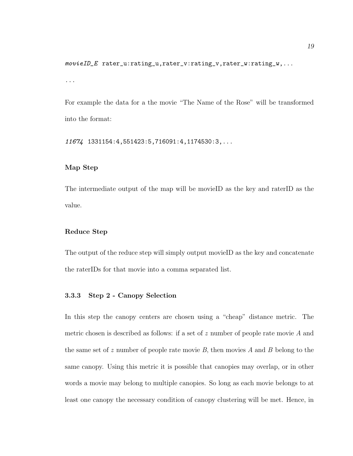$movieID\_E$  rater\_u:rating\_u,rater\_v:rating\_v,rater\_w:rating\_w,...

...

For example the data for a the movie "The Name of the Rose" will be transformed into the format:

11674 1331154:4,551423:5,716091:4,1174530:3,...

## Map Step

The intermediate output of the map will be movieID as the key and raterID as the value.

### Reduce Step

The output of the reduce step will simply output movieID as the key and concatenate the raterIDs for that movie into a comma separated list.

## 3.3.3 Step 2 - Canopy Selection

In this step the canopy centers are chosen using a "cheap" distance metric. The metric chosen is described as follows: if a set of z number of people rate movie A and the same set of z number of people rate movie  $B$ , then movies A and B belong to the same canopy. Using this metric it is possible that canopies may overlap, or in other words a movie may belong to multiple canopies. So long as each movie belongs to at least one canopy the necessary condition of canopy clustering will be met. Hence, in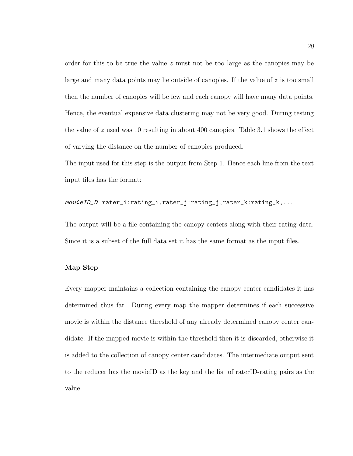order for this to be true the value  $z$  must not be too large as the canopies may be large and many data points may lie outside of canopies. If the value of z is too small then the number of canopies will be few and each canopy will have many data points. Hence, the eventual expensive data clustering may not be very good. During testing the value of z used was 10 resulting in about 400 canopies. Table 3.1 shows the effect of varying the distance on the number of canopies produced.

The input used for this step is the output from Step 1. Hence each line from the text input files has the format:

### movieID\_D rater\_i:rating\_i,rater\_j:rating\_j,rater\_k:rating\_k,...

The output will be a file containing the canopy centers along with their rating data. Since it is a subset of the full data set it has the same format as the input files.

#### Map Step

Every mapper maintains a collection containing the canopy center candidates it has determined thus far. During every map the mapper determines if each successive movie is within the distance threshold of any already determined canopy center candidate. If the mapped movie is within the threshold then it is discarded, otherwise it is added to the collection of canopy center candidates. The intermediate output sent to the reducer has the movieID as the key and the list of raterID-rating pairs as the value.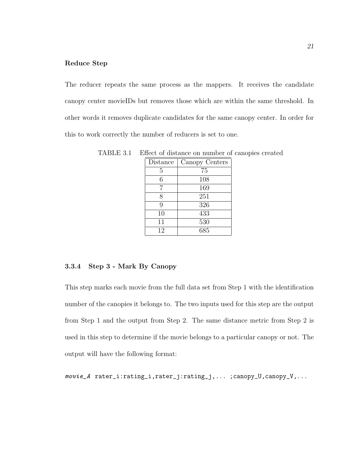#### Reduce Step

The reducer repeats the same process as the mappers. It receives the candidate canopy center movieIDs but removes those which are within the same threshold. In other words it removes duplicate candidates for the same canopy center. In order for this to work correctly the number of reducers is set to one.

| Distance | Canopy Centers |
|----------|----------------|
| 5        | 75             |
| 6        | 108            |
|          | 169            |
| 8        | 251            |
| 9        | 326            |
| 10       | 433            |
| 11       | 530            |
| 12       | 685            |

TABLE 3.1 Effect of distance on number of canopies created

## 3.3.4 Step 3 - Mark By Canopy

This step marks each movie from the full data set from Step 1 with the identification number of the canopies it belongs to. The two inputs used for this step are the output from Step 1 and the output from Step 2. The same distance metric from Step 2 is used in this step to determine if the movie belongs to a particular canopy or not. The output will have the following format:

movie\_A rater\_i:rating\_i,rater\_j:rating\_j,... ;canopy\_U,canopy\_V,...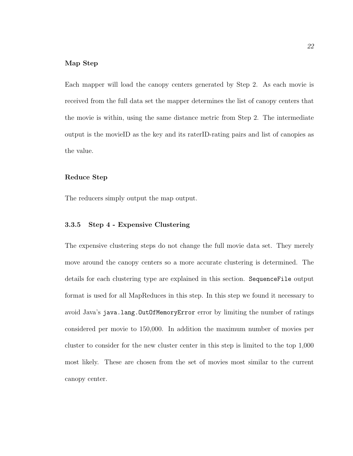#### Map Step

Each mapper will load the canopy centers generated by Step 2. As each movie is received from the full data set the mapper determines the list of canopy centers that the movie is within, using the same distance metric from Step 2. The intermediate output is the movieID as the key and its raterID-rating pairs and list of canopies as the value.

#### Reduce Step

The reducers simply output the map output.

### 3.3.5 Step 4 - Expensive Clustering

The expensive clustering steps do not change the full movie data set. They merely move around the canopy centers so a more accurate clustering is determined. The details for each clustering type are explained in this section. SequenceFile output format is used for all MapReduces in this step. In this step we found it necessary to avoid Java's java.lang.OutOfMemoryError error by limiting the number of ratings considered per movie to 150,000. In addition the maximum number of movies per cluster to consider for the new cluster center in this step is limited to the top 1,000 most likely. These are chosen from the set of movies most similar to the current canopy center.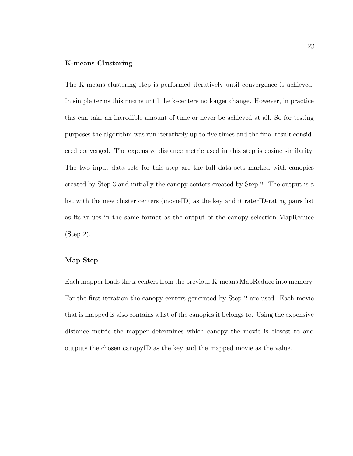#### K-means Clustering

The K-means clustering step is performed iteratively until convergence is achieved. In simple terms this means until the k-centers no longer change. However, in practice this can take an incredible amount of time or never be achieved at all. So for testing purposes the algorithm was run iteratively up to five times and the final result considered converged. The expensive distance metric used in this step is cosine similarity. The two input data sets for this step are the full data sets marked with canopies created by Step 3 and initially the canopy centers created by Step 2. The output is a list with the new cluster centers (movieID) as the key and it raterID-rating pairs list as its values in the same format as the output of the canopy selection MapReduce (Step 2).

#### Map Step

Each mapper loads the k-centers from the previous K-means MapReduce into memory. For the first iteration the canopy centers generated by Step 2 are used. Each movie that is mapped is also contains a list of the canopies it belongs to. Using the expensive distance metric the mapper determines which canopy the movie is closest to and outputs the chosen canopyID as the key and the mapped movie as the value.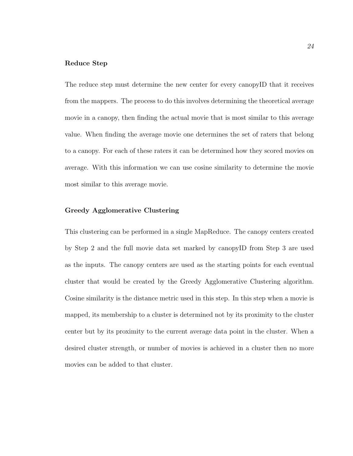#### Reduce Step

The reduce step must determine the new center for every canopyID that it receives from the mappers. The process to do this involves determining the theoretical average movie in a canopy, then finding the actual movie that is most similar to this average value. When finding the average movie one determines the set of raters that belong to a canopy. For each of these raters it can be determined how they scored movies on average. With this information we can use cosine similarity to determine the movie most similar to this average movie.

#### Greedy Agglomerative Clustering

This clustering can be performed in a single MapReduce. The canopy centers created by Step 2 and the full movie data set marked by canopyID from Step 3 are used as the inputs. The canopy centers are used as the starting points for each eventual cluster that would be created by the Greedy Agglomerative Clustering algorithm. Cosine similarity is the distance metric used in this step. In this step when a movie is mapped, its membership to a cluster is determined not by its proximity to the cluster center but by its proximity to the current average data point in the cluster. When a desired cluster strength, or number of movies is achieved in a cluster then no more movies can be added to that cluster.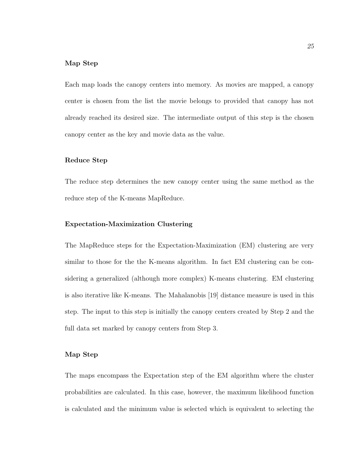#### Map Step

Each map loads the canopy centers into memory. As movies are mapped, a canopy center is chosen from the list the movie belongs to provided that canopy has not already reached its desired size. The intermediate output of this step is the chosen canopy center as the key and movie data as the value.

#### Reduce Step

The reduce step determines the new canopy center using the same method as the reduce step of the K-means MapReduce.

#### Expectation-Maximization Clustering

The MapReduce steps for the Expectation-Maximization (EM) clustering are very similar to those for the the K-means algorithm. In fact EM clustering can be considering a generalized (although more complex) K-means clustering. EM clustering is also iterative like K-means. The Mahalanobis [19] distance measure is used in this step. The input to this step is initially the canopy centers created by Step 2 and the full data set marked by canopy centers from Step 3.

#### Map Step

The maps encompass the Expectation step of the EM algorithm where the cluster probabilities are calculated. In this case, however, the maximum likelihood function is calculated and the minimum value is selected which is equivalent to selecting the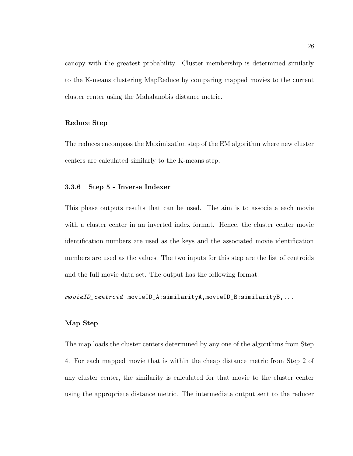canopy with the greatest probability. Cluster membership is determined similarly to the K-means clustering MapReduce by comparing mapped movies to the current cluster center using the Mahalanobis distance metric.

#### Reduce Step

The reduces encompass the Maximization step of the EM algorithm where new cluster centers are calculated similarly to the K-means step.

#### 3.3.6 Step 5 - Inverse Indexer

This phase outputs results that can be used. The aim is to associate each movie with a cluster center in an inverted index format. Hence, the cluster center movie identification numbers are used as the keys and the associated movie identification numbers are used as the values. The two inputs for this step are the list of centroids and the full movie data set. The output has the following format:

movieID\_centroid movieID\_A:similarityA,movieID\_B:similarityB,...

#### Map Step

The map loads the cluster centers determined by any one of the algorithms from Step 4. For each mapped movie that is within the cheap distance metric from Step 2 of any cluster center, the similarity is calculated for that movie to the cluster center using the appropriate distance metric. The intermediate output sent to the reducer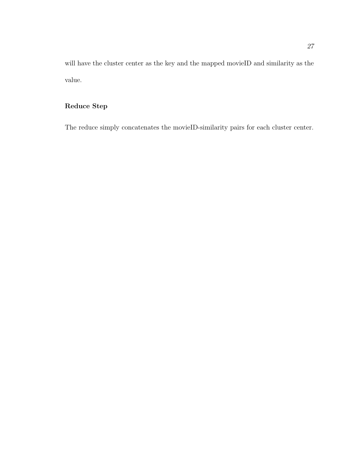will have the cluster center as the key and the mapped movieID and similarity as the value.

# Reduce Step

The reduce simply concatenates the movieID-similarity pairs for each cluster center.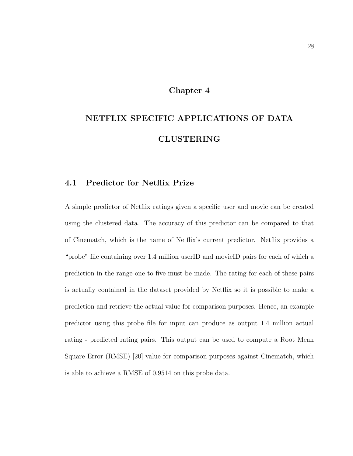#### Chapter 4

# NETFLIX SPECIFIC APPLICATIONS OF DATA CLUSTERING

## 4.1 Predictor for Netflix Prize

A simple predictor of Netflix ratings given a specific user and movie can be created using the clustered data. The accuracy of this predictor can be compared to that of Cinematch, which is the name of Netflix's current predictor. Netflix provides a "probe" file containing over 1.4 million userID and movieID pairs for each of which a prediction in the range one to five must be made. The rating for each of these pairs is actually contained in the dataset provided by Netflix so it is possible to make a prediction and retrieve the actual value for comparison purposes. Hence, an example predictor using this probe file for input can produce as output 1.4 million actual rating - predicted rating pairs. This output can be used to compute a Root Mean Square Error (RMSE) [20] value for comparison purposes against Cinematch, which is able to achieve a RMSE of 0.9514 on this probe data.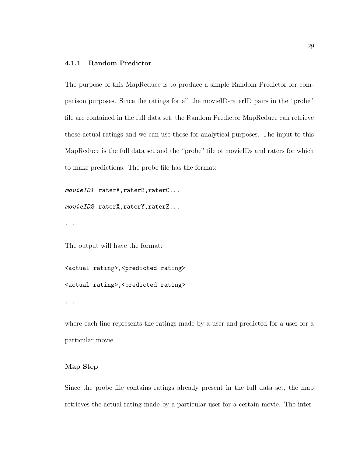#### 4.1.1 Random Predictor

The purpose of this MapReduce is to produce a simple Random Predictor for comparison purposes. Since the ratings for all the movieID-raterID pairs in the "probe" file are contained in the full data set, the Random Predictor MapReduce can retrieve those actual ratings and we can use those for analytical purposes. The input to this MapReduce is the full data set and the "probe" file of movieIDs and raters for which to make predictions. The probe file has the format:

```
movieID1 raterA,raterB,raterC...
```

```
movieID2 raterX,raterY,raterZ...
```
...

The output will have the format:

```
<actual rating>,<predicted rating>
<actual rating>,<predicted rating>
```
...

where each line represents the ratings made by a user and predicted for a user for a particular movie.

#### Map Step

Since the probe file contains ratings already present in the full data set, the map retrieves the actual rating made by a particular user for a certain movie. The inter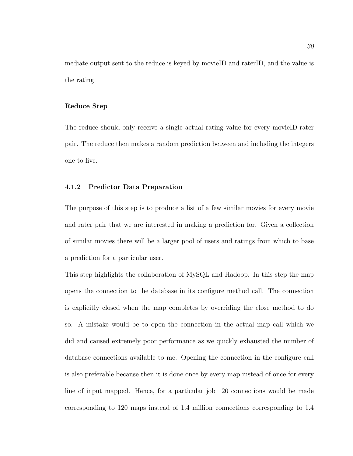mediate output sent to the reduce is keyed by movieID and raterID, and the value is the rating.

#### Reduce Step

The reduce should only receive a single actual rating value for every movieID-rater pair. The reduce then makes a random prediction between and including the integers one to five.

#### 4.1.2 Predictor Data Preparation

The purpose of this step is to produce a list of a few similar movies for every movie and rater pair that we are interested in making a prediction for. Given a collection of similar movies there will be a larger pool of users and ratings from which to base a prediction for a particular user.

This step highlights the collaboration of MySQL and Hadoop. In this step the map opens the connection to the database in its configure method call. The connection is explicitly closed when the map completes by overriding the close method to do so. A mistake would be to open the connection in the actual map call which we did and caused extremely poor performance as we quickly exhausted the number of database connections available to me. Opening the connection in the configure call is also preferable because then it is done once by every map instead of once for every line of input mapped. Hence, for a particular job 120 connections would be made corresponding to 120 maps instead of 1.4 million connections corresponding to 1.4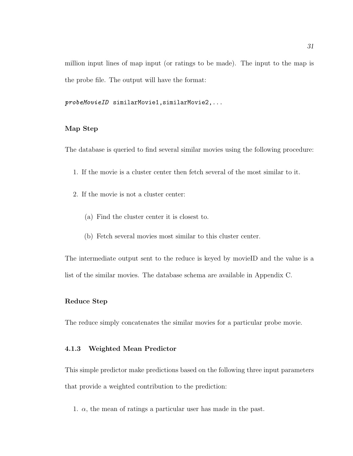million input lines of map input (or ratings to be made). The input to the map is the probe file. The output will have the format:

probeMovieID similarMovie1,similarMovie2,...

#### Map Step

The database is queried to find several similar movies using the following procedure:

- 1. If the movie is a cluster center then fetch several of the most similar to it.
- 2. If the movie is not a cluster center:
	- (a) Find the cluster center it is closest to.
	- (b) Fetch several movies most similar to this cluster center.

The intermediate output sent to the reduce is keyed by movieID and the value is a list of the similar movies. The database schema are available in Appendix C.

#### Reduce Step

The reduce simply concatenates the similar movies for a particular probe movie.

#### 4.1.3 Weighted Mean Predictor

This simple predictor make predictions based on the following three input parameters that provide a weighted contribution to the prediction:

1.  $\alpha$ , the mean of ratings a particular user has made in the past.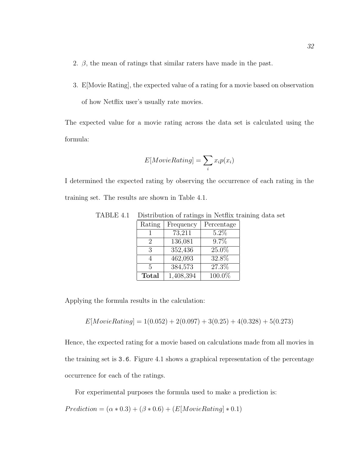- 2.  $\beta$ , the mean of ratings that similar raters have made in the past.
- 3. E[Movie Rating], the expected value of a rating for a movie based on observation of how Netflix user's usually rate movies.

The expected value for a movie rating across the data set is calculated using the formula:

$$
E[MovieRating] = \sum_{i} x_i p(x_i)
$$

I determined the expected rating by observing the occurrence of each rating in the training set. The results are shown in Table 4.1.

| TABLE 4.1 Distribution of ratings in Netflix training data set |                                 |  |  |
|----------------------------------------------------------------|---------------------------------|--|--|
|                                                                | Rating   Frequency   Percentage |  |  |

| Rating        | Frequency | Percentage |
|---------------|-----------|------------|
|               | 73,211    | $5.2\%$    |
| $\mathcal{P}$ | 136,081   | 9.7%       |
| 3             | 352,436   | $25.0\%$   |
|               | 462,093   | 32.8%      |
| 5             | 384,573   | 27.3%      |
| <b>Total</b>  | 1,408,394 | 100.0%     |

Applying the formula results in the calculation:

$$
E[MovieRating] = 1(0.052) + 2(0.097) + 3(0.25) + 4(0.328) + 5(0.273)
$$

Hence, the expected rating for a movie based on calculations made from all movies in the training set is 3.6. Figure 4.1 shows a graphical representation of the percentage occurrence for each of the ratings.

For experimental purposes the formula used to make a prediction is:

 $Prediction = (\alpha * 0.3) + (\beta * 0.6) + (E[MovieRating] * 0.1)$ </mark>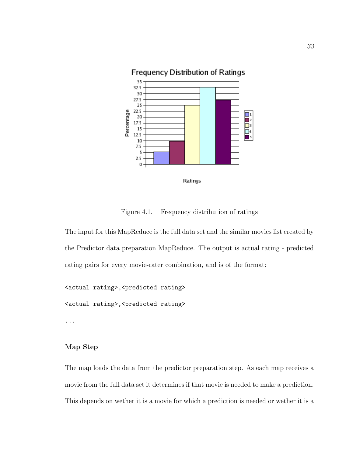

Figure 4.1. Frequency distribution of ratings

The input for this MapReduce is the full data set and the similar movies list created by the Predictor data preparation MapReduce. The output is actual rating - predicted rating pairs for every movie-rater combination, and is of the format:

<actual rating>,<predicted rating> <actual rating>,<predicted rating> ...

#### Map Step

The map loads the data from the predictor preparation step. As each map receives a movie from the full data set it determines if that movie is needed to make a prediction. This depends on wether it is a movie for which a prediction is needed or wether it is a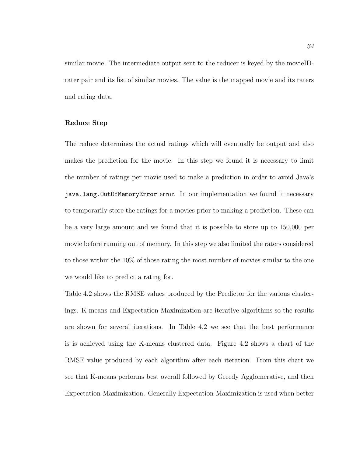similar movie. The intermediate output sent to the reducer is keyed by the movieIDrater pair and its list of similar movies. The value is the mapped movie and its raters and rating data.

#### Reduce Step

The reduce determines the actual ratings which will eventually be output and also makes the prediction for the movie. In this step we found it is necessary to limit the number of ratings per movie used to make a prediction in order to avoid Java's java.lang.OutOfMemoryError error. In our implementation we found it necessary to temporarily store the ratings for a movies prior to making a prediction. These can be a very large amount and we found that it is possible to store up to 150,000 per movie before running out of memory. In this step we also limited the raters considered to those within the 10% of those rating the most number of movies similar to the one we would like to predict a rating for.

Table 4.2 shows the RMSE values produced by the Predictor for the various clusterings. K-means and Expectation-Maximization are iterative algorithms so the results are shown for several iterations. In Table 4.2 we see that the best performance is is achieved using the K-means clustered data. Figure 4.2 shows a chart of the RMSE value produced by each algorithm after each iteration. From this chart we see that K-means performs best overall followed by Greedy Agglomerative, and then Expectation-Maximization. Generally Expectation-Maximization is used when better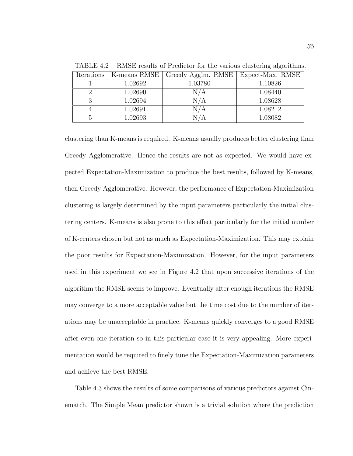| Iterations | K-means RMSE | Greedy Agglm. RMSE   Expect-Max. RMSE |         |
|------------|--------------|---------------------------------------|---------|
|            | 1.02692      | 1.03780                               | 1.10826 |
|            | 1.02690      | N/A                                   | 1.08440 |
|            | 1.02694      | N / A                                 | 1.08628 |
|            | 1.02691      | 'N / A                                | 1.08212 |
|            | 1.02693      |                                       | 1.08082 |

TABLE 4.2 RMSE results of Predictor for the various clustering algorithms.

clustering than K-means is required. K-means usually produces better clustering than Greedy Agglomerative. Hence the results are not as expected. We would have expected Expectation-Maximization to produce the best results, followed by K-means, then Greedy Agglomerative. However, the performance of Expectation-Maximization clustering is largely determined by the input parameters particularly the initial clustering centers. K-means is also prone to this effect particularly for the initial number of K-centers chosen but not as much as Expectation-Maximization. This may explain the poor results for Expectation-Maximization. However, for the input parameters used in this experiment we see in Figure 4.2 that upon successive iterations of the algorithm the RMSE seems to improve. Eventually after enough iterations the RMSE may converge to a more acceptable value but the time cost due to the number of iterations may be unacceptable in practice. K-means quickly converges to a good RMSE after even one iteration so in this particular case it is very appealing. More experimentation would be required to finely tune the Expectation-Maximization parameters and achieve the best RMSE.

Table 4.3 shows the results of some comparisons of various predictors against Cinematch. The Simple Mean predictor shown is a trivial solution where the prediction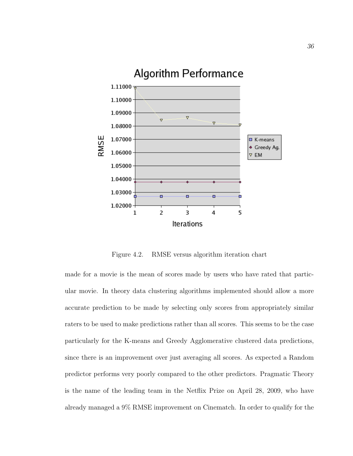

Figure 4.2. RMSE versus algorithm iteration chart

made for a movie is the mean of scores made by users who have rated that particular movie. In theory data clustering algorithms implemented should allow a more accurate prediction to be made by selecting only scores from appropriately similar raters to be used to make predictions rather than all scores. This seems to be the case particularly for the K-means and Greedy Agglomerative clustered data predictions, since there is an improvement over just averaging all scores. As expected a Random predictor performs very poorly compared to the other predictors. Pragmatic Theory is the name of the leading team in the Netflix Prize on April 28, 2009, who have already managed a 9% RMSE improvement on Cinematch. In order to qualify for the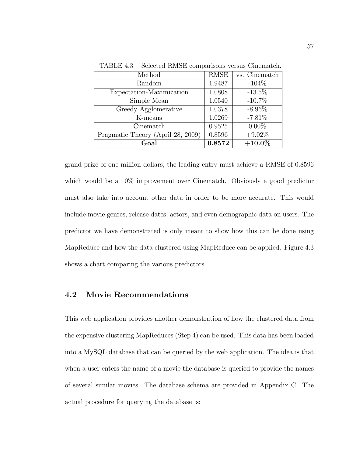| Method                            | <b>RMSE</b> | vs. Cinematch |
|-----------------------------------|-------------|---------------|
| Random                            | 1.9487      | $-104\%$      |
| Expectation-Maximization          | 1.0808      | $-13.5\%$     |
| Simple Mean                       | 1.0540      | $-10.7\%$     |
| Greedy Agglomerative              | 1.0378      | $-8.96\%$     |
| K-means                           | 1.0269      | $-7.81%$      |
| Cinematch                         | 0.9525      | $0.00\%$      |
| Pragmatic Theory (April 28, 2009) | 0.8596      | $+9.02\%$     |
| $_{\rm{Goal}}$                    | 0.8572      | $+10.0\%$     |

TABLE 4.3 Selected RMSE comparisons versus Cinematch.

grand prize of one million dollars, the leading entry must achieve a RMSE of 0.8596 which would be a 10% improvement over Cinematch. Obviously a good predictor must also take into account other data in order to be more accurate. This would include movie genres, release dates, actors, and even demographic data on users. The predictor we have demonstrated is only meant to show how this can be done using MapReduce and how the data clustered using MapReduce can be applied. Figure 4.3 shows a chart comparing the various predictors.

#### 4.2 Movie Recommendations

This web application provides another demonstration of how the clustered data from the expensive clustering MapReduces (Step 4) can be used. This data has been loaded into a MySQL database that can be queried by the web application. The idea is that when a user enters the name of a movie the database is queried to provide the names of several similar movies. The database schema are provided in Appendix C. The actual procedure for querying the database is: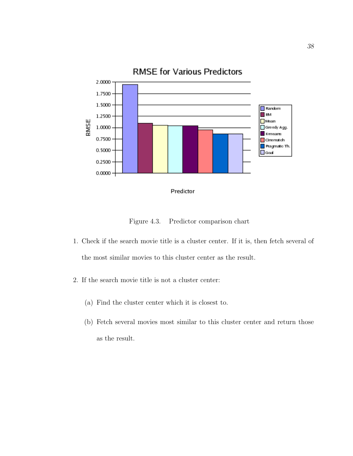

Figure 4.3. Predictor comparison chart

- 1. Check if the search movie title is a cluster center. If it is, then fetch several of the most similar movies to this cluster center as the result.
- 2. If the search movie title is not a cluster center:
	- (a) Find the cluster center which it is closest to.
	- (b) Fetch several movies most similar to this cluster center and return those as the result.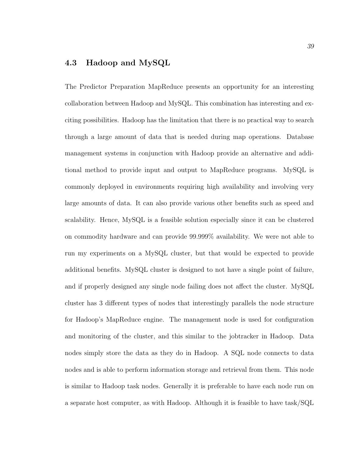### 4.3 Hadoop and MySQL

The Predictor Preparation MapReduce presents an opportunity for an interesting collaboration between Hadoop and MySQL. This combination has interesting and exciting possibilities. Hadoop has the limitation that there is no practical way to search through a large amount of data that is needed during map operations. Database management systems in conjunction with Hadoop provide an alternative and additional method to provide input and output to MapReduce programs. MySQL is commonly deployed in environments requiring high availability and involving very large amounts of data. It can also provide various other benefits such as speed and scalability. Hence, MySQL is a feasible solution especially since it can be clustered on commodity hardware and can provide 99.999% availability. We were not able to run my experiments on a MySQL cluster, but that would be expected to provide additional benefits. MySQL cluster is designed to not have a single point of failure, and if properly designed any single node failing does not affect the cluster. MySQL cluster has 3 different types of nodes that interestingly parallels the node structure for Hadoop's MapReduce engine. The management node is used for configuration and monitoring of the cluster, and this similar to the jobtracker in Hadoop. Data nodes simply store the data as they do in Hadoop. A SQL node connects to data nodes and is able to perform information storage and retrieval from them. This node is similar to Hadoop task nodes. Generally it is preferable to have each node run on a separate host computer, as with Hadoop. Although it is feasible to have task/SQL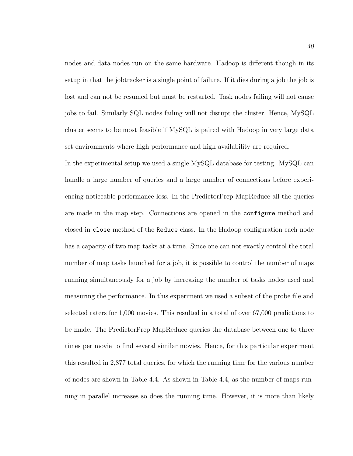nodes and data nodes run on the same hardware. Hadoop is different though in its setup in that the jobtracker is a single point of failure. If it dies during a job the job is lost and can not be resumed but must be restarted. Task nodes failing will not cause jobs to fail. Similarly SQL nodes failing will not disrupt the cluster. Hence, MySQL cluster seems to be most feasible if MySQL is paired with Hadoop in very large data set environments where high performance and high availability are required.

In the experimental setup we used a single MySQL database for testing. MySQL can handle a large number of queries and a large number of connections before experiencing noticeable performance loss. In the PredictorPrep MapReduce all the queries are made in the map step. Connections are opened in the configure method and closed in close method of the Reduce class. In the Hadoop configuration each node has a capacity of two map tasks at a time. Since one can not exactly control the total number of map tasks launched for a job, it is possible to control the number of maps running simultaneously for a job by increasing the number of tasks nodes used and measuring the performance. In this experiment we used a subset of the probe file and selected raters for 1,000 movies. This resulted in a total of over 67,000 predictions to be made. The PredictorPrep MapReduce queries the database between one to three times per movie to find several similar movies. Hence, for this particular experiment this resulted in 2,877 total queries, for which the running time for the various number of nodes are shown in Table 4.4. As shown in Table 4.4, as the number of maps running in parallel increases so does the running time. However, it is more than likely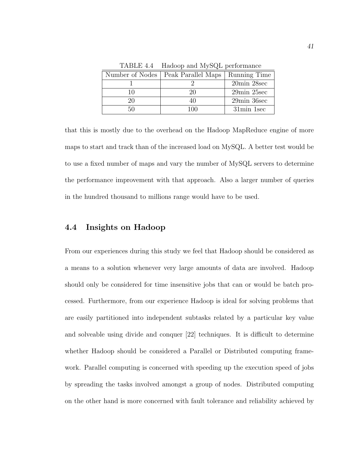| Number of Nodes   Peak Parallel Maps | Running Time                  |
|--------------------------------------|-------------------------------|
|                                      | 20min 28sec                   |
| 20                                   | $29\text{min}$ $25\text{sec}$ |
|                                      | 29min 36sec                   |
|                                      | 31min 1sec                    |

TABLE 4.4 Hadoop and MySQL performance

that this is mostly due to the overhead on the Hadoop MapReduce engine of more maps to start and track than of the increased load on MySQL. A better test would be to use a fixed number of maps and vary the number of MySQL servers to determine the performance improvement with that approach. Also a larger number of queries in the hundred thousand to millions range would have to be used.

### 4.4 Insights on Hadoop

From our experiences during this study we feel that Hadoop should be considered as a means to a solution whenever very large amounts of data are involved. Hadoop should only be considered for time insensitive jobs that can or would be batch processed. Furthermore, from our experience Hadoop is ideal for solving problems that are easily partitioned into independent subtasks related by a particular key value and solveable using divide and conquer [22] techniques. It is difficult to determine whether Hadoop should be considered a Parallel or Distributed computing framework. Parallel computing is concerned with speeding up the execution speed of jobs by spreading the tasks involved amongst a group of nodes. Distributed computing on the other hand is more concerned with fault tolerance and reliability achieved by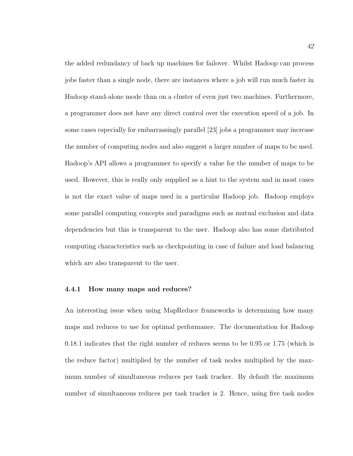the added redundancy of back up machines for failover. Whilst Hadoop can process jobs faster than a single node, there are instances where a job will run much faster in Hadoop stand-alone mode than on a cluster of even just two machines. Furthermore, a programmer does not have any direct control over the execution speed of a job. In some cases especially for embarrassingly parallel [23] jobs a programmer may increase the number of computing nodes and also suggest a larger number of maps to be used. Hadoop's API allows a programmer to specify a value for the number of maps to be used. However, this is really only supplied as a hint to the system and in most cases is not the exact value of maps used in a particular Hadoop job. Hadoop employs some parallel computing concepts and paradigms such as mutual exclusion and data dependencies but this is transparent to the user. Hadoop also has some distributed computing characteristics such as checkpointing in case of failure and load balancing which are also transparent to the user.

#### 4.4.1 How many maps and reduces?

An interesting issue when using MapReduce frameworks is determining how many maps and reduces to use for optimal performance. The documentation for Hadoop 0.18.1 indicates that the right number of reduces seems to be 0.95 or 1.75 (which is the reduce factor) multiplied by the number of task nodes multiplied by the maximum number of simultaneous reduces per task tracker. By default the maximum number of simultaneous reduces per task tracker is 2. Hence, using five task nodes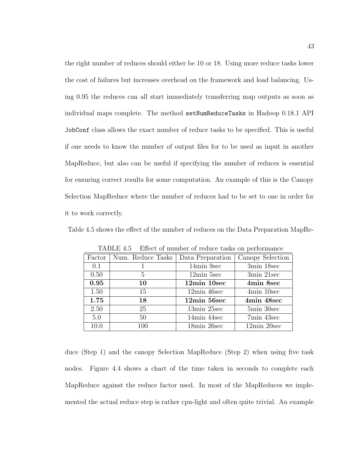the right number of reduces should either be 10 or 18. Using more reduce tasks lower the cost of failures but increases overhead on the framework and load balancing. Using 0.95 the reduces can all start immediately transferring map outputs as soon as individual maps complete. The method setNumReduceTasks in Hadoop 0.18.1 API JobConf class allows the exact number of reduce tasks to be specified. This is useful if one needs to know the number of output files for to be used as input in another MapReduce, but also can be useful if specifying the number of reduces is essential for ensuring correct results for some computation. An example of this is the Canopy Selection MapReduce where the number of reduces had to be set to one in order for it to work correctly.

Table 4.5 shows the effect of the number of reduces on the Data Preparation MapRe-

| Factor | Num. Reduce Tasks | Data Preparation     | Canopy Selection              |
|--------|-------------------|----------------------|-------------------------------|
| 0.1    |                   | 14min 9sec           | 3min 18sec                    |
| 0.50   | 5                 | $12\text{min}$ 5sec  | 3min 21sec                    |
| 0.95   | 10                | 12min 10sec          | 4min 8sec                     |
| 1.50   | 15                | $12\text{min}$ 46sec | 4min 10sec                    |
| 1.75   | 18                | $12\text{min}$ 56sec | 4min 48sec                    |
| 2.50   | 25                | 13min 25sec          | 5min 30sec                    |
| 5.0    | 50                | 14min 44sec          | 7min 43sec                    |
| 10.0   | 100               | 18min 26sec          | $12\text{min}$ $20\text{sec}$ |

TABLE 4.5 Effect of number of reduce tasks on performance

duce (Step 1) and the canopy Selection MapReduce (Step 2) when using five task nodes. Figure 4.4 shows a chart of the time taken in seconds to complete each MapReduce against the reduce factor used. In most of the MapReduces we implemented the actual reduce step is rather cpu-light and often quite trivial. An example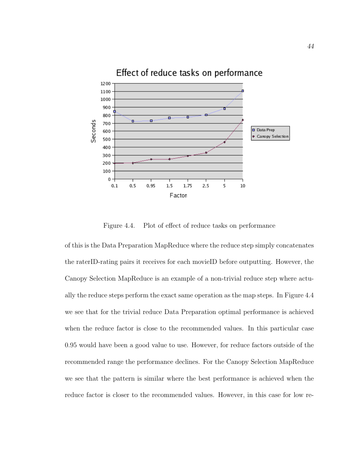

Figure 4.4. Plot of effect of reduce tasks on performance

of this is the Data Preparation MapReduce where the reduce step simply concatenates the raterID-rating pairs it receives for each movieID before outputting. However, the Canopy Selection MapReduce is an example of a non-trivial reduce step where actually the reduce steps perform the exact same operation as the map steps. In Figure 4.4 we see that for the trivial reduce Data Preparation optimal performance is achieved when the reduce factor is close to the recommended values. In this particular case 0.95 would have been a good value to use. However, for reduce factors outside of the recommended range the performance declines. For the Canopy Selection MapReduce we see that the pattern is similar where the best performance is achieved when the reduce factor is closer to the recommended values. However, in this case for low re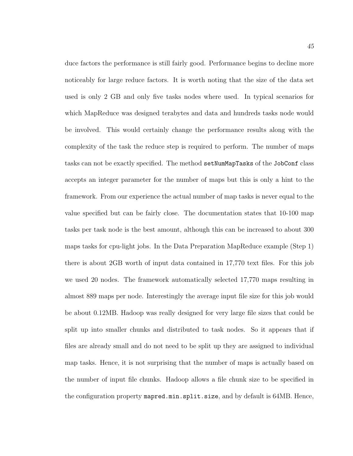duce factors the performance is still fairly good. Performance begins to decline more noticeably for large reduce factors. It is worth noting that the size of the data set used is only 2 GB and only five tasks nodes where used. In typical scenarios for which MapReduce was designed terabytes and data and hundreds tasks node would be involved. This would certainly change the performance results along with the complexity of the task the reduce step is required to perform. The number of maps tasks can not be exactly specified. The method setNumMapTasks of the JobConf class accepts an integer parameter for the number of maps but this is only a hint to the framework. From our experience the actual number of map tasks is never equal to the value specified but can be fairly close. The documentation states that 10-100 map tasks per task node is the best amount, although this can be increased to about 300 maps tasks for cpu-light jobs. In the Data Preparation MapReduce example (Step 1) there is about 2GB worth of input data contained in 17,770 text files. For this job we used 20 nodes. The framework automatically selected 17,770 maps resulting in almost 889 maps per node. Interestingly the average input file size for this job would be about 0.12MB. Hadoop was really designed for very large file sizes that could be split up into smaller chunks and distributed to task nodes. So it appears that if files are already small and do not need to be split up they are assigned to individual map tasks. Hence, it is not surprising that the number of maps is actually based on the number of input file chunks. Hadoop allows a file chunk size to be specified in the configuration property mapred.min.split.size, and by default is 64MB. Hence,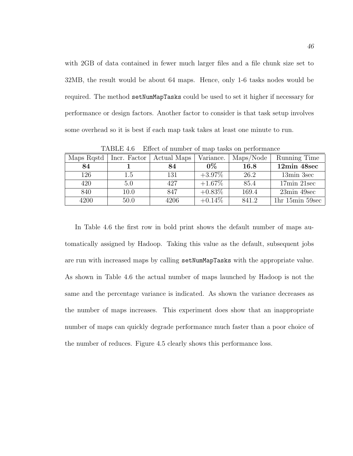with 2GB of data contained in fewer much larger files and a file chunk size set to 32MB, the result would be about 64 maps. Hence, only 1-6 tasks nodes would be required. The method setNumMapTasks could be used to set it higher if necessary for performance or design factors. Another factor to consider is that task setup involves some overhead so it is best if each map task takes at least one minute to run.

| Maps Rostd | Incr. Factor | Actual Maps | Variance. | Maps/Node | Running Time                |
|------------|--------------|-------------|-----------|-----------|-----------------------------|
| 84         |              | 84          | $0\%$     | 16.8      | 12min 48sec                 |
| 126        | 1.5          | 131         | $+3.97\%$ | 26.2      | 13min 3sec                  |
| 420        | 5.0          | 427         | $+1.67\%$ | 85.4      | $17\text{min} 21\text{sec}$ |
| 840        | 10.0         | 847         | $+0.83\%$ | 169.4     | 23min 49sec                 |
| 4200       | 50.0         | 4206        | $+0.14\%$ | 841.2     | $1hr 15min 59sec$           |

TABLE 4.6 Effect of number of map tasks on performance

In Table 4.6 the first row in bold print shows the default number of maps automatically assigned by Hadoop. Taking this value as the default, subsequent jobs are run with increased maps by calling setNumMapTasks with the appropriate value. As shown in Table 4.6 the actual number of maps launched by Hadoop is not the same and the percentage variance is indicated. As shown the variance decreases as the number of maps increases. This experiment does show that an inappropriate number of maps can quickly degrade performance much faster than a poor choice of the number of reduces. Figure 4.5 clearly shows this performance loss.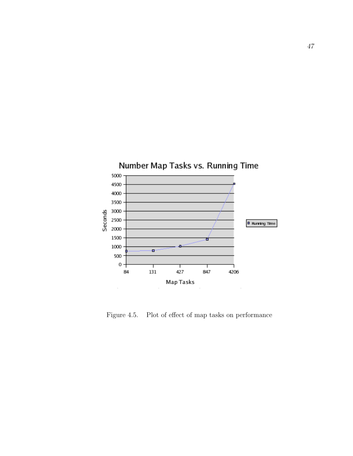

Figure 4.5. Plot of effect of map tasks on performance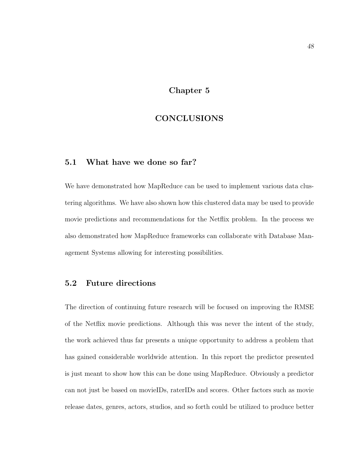# Chapter 5

# CONCLUSIONS

### 5.1 What have we done so far?

We have demonstrated how MapReduce can be used to implement various data clustering algorithms. We have also shown how this clustered data may be used to provide movie predictions and recommendations for the Netflix problem. In the process we also demonstrated how MapReduce frameworks can collaborate with Database Management Systems allowing for interesting possibilities.

## 5.2 Future directions

The direction of continuing future research will be focused on improving the RMSE of the Netflix movie predictions. Although this was never the intent of the study, the work achieved thus far presents a unique opportunity to address a problem that has gained considerable worldwide attention. In this report the predictor presented is just meant to show how this can be done using MapReduce. Obviously a predictor can not just be based on movieIDs, raterIDs and scores. Other factors such as movie release dates, genres, actors, studios, and so forth could be utilized to produce better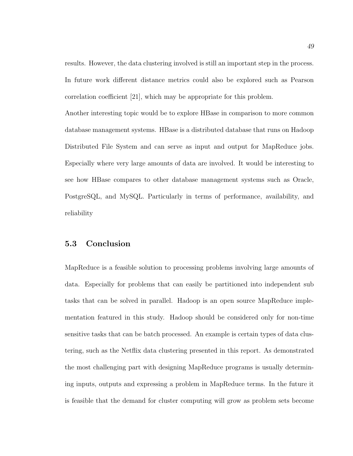results. However, the data clustering involved is still an important step in the process. In future work different distance metrics could also be explored such as Pearson correlation coefficient [21], which may be appropriate for this problem.

Another interesting topic would be to explore HBase in comparison to more common database management systems. HBase is a distributed database that runs on Hadoop Distributed File System and can serve as input and output for MapReduce jobs. Especially where very large amounts of data are involved. It would be interesting to see how HBase compares to other database management systems such as Oracle, PostgreSQL, and MySQL. Particularly in terms of performance, availability, and reliability

#### 5.3 Conclusion

MapReduce is a feasible solution to processing problems involving large amounts of data. Especially for problems that can easily be partitioned into independent sub tasks that can be solved in parallel. Hadoop is an open source MapReduce implementation featured in this study. Hadoop should be considered only for non-time sensitive tasks that can be batch processed. An example is certain types of data clustering, such as the Netflix data clustering presented in this report. As demonstrated the most challenging part with designing MapReduce programs is usually determining inputs, outputs and expressing a problem in MapReduce terms. In the future it is feasible that the demand for cluster computing will grow as problem sets become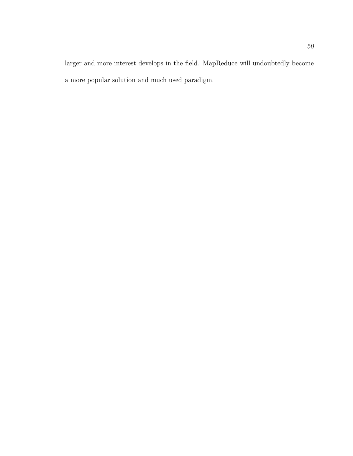larger and more interest develops in the field. MapReduce will undoubtedly become a more popular solution and much used paradigm.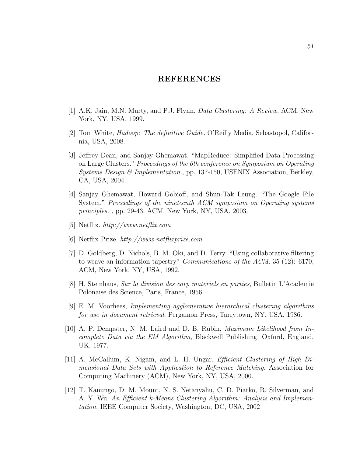#### REFERENCES

- [1] A.K. Jain, M.N. Murty, and P.J. Flynn. Data Clustering: A Review. ACM, New York, NY, USA, 1999.
- [2] Tom White, Hadoop: The definitive Guide. O'Reilly Media, Sebastopol, California, USA, 2008.
- [3] Jeffrey Dean, and Sanjay Ghemawat. "MapReduce: Simplified Data Processing on Large Clusters." Proceedings of the 6th conference on Symposium on Operating Systems Design & Implementation., pp. 137-150, USENIX Association, Berkley, CA, USA, 2004.
- [4] Sanjay Ghemawat, Howard Gobioff, and Shun-Tak Leung. "The Google File System." Proceedings of the nineteenth ACM symposium on Operating systems principles. , pp. 29-43, ACM, New York, NY, USA, 2003.
- [5] Netflix. http://www.netflix.com
- [6] Netflix Prize. http://www.netflixprize.com
- [7] D. Goldberg, D. Nichols, B. M. Oki, and D. Terry. "Using collaborative filtering to weave an information tapestry" Communications of the ACM. 35 (12): 6170, ACM, New York, NY, USA, 1992.
- [8] H. Steinhaus, Sur la division des corp materiels en parties, Bulletin L'Academie Polonaise des Science, Paris, France, 1956.
- [9] E. M. Voorhees, Implementing agglomerative hierarchical clustering algorithms for use in document retrieval, Pergamon Press, Tarrytown, NY, USA, 1986.
- [10] A. P. Dempster, N. M. Laird and D. B. Rubin, Maximum Likelihood from Incomplete Data via the EM Algorithm, Blackwell Publishing, Oxford, England, UK, 1977.
- [11] A. McCallum, K. Nigam, and L. H. Ungar. Efficient Clustering of High Dimensional Data Sets with Application to Reference Matching. Association for Computing Machinery (ACM), New York, NY, USA, 2000.
- [12] T. Kanungo, D. M. Mount, N. S. Netanyahu, C. D. Piatko, R. Silverman, and A. Y. Wu. An Efficient k-Means Clustering Algorithm: Analysis and Implementation. IEEE Computer Society, Washington, DC, USA, 2002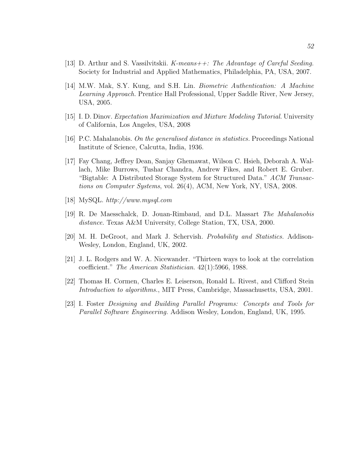- [13] D. Arthur and S. Vassilvitskii. K-means  $++$ : The Advantage of Careful Seeding. Society for Industrial and Applied Mathematics, Philadelphia, PA, USA, 2007.
- [14] M.W. Mak, S.Y. Kung, and S.H. Lin. Biometric Authentication: A Machine Learning Approach. Prentice Hall Professional, Upper Saddle River, New Jersey, USA, 2005.
- [15] I. D. Dinov. Expectation Maximization and Mixture Modeling Tutorial. University of California, Los Angeles, USA, 2008
- [16] P.C. Mahalanobis. On the generalised distance in statistics. Proceedings National Institute of Science, Calcutta, India, 1936.
- [17] Fay Chang, Jeffrey Dean, Sanjay Ghemawat, Wilson C. Hsieh, Deborah A. Wallach, Mike Burrows, Tushar Chandra, Andrew Fikes, and Robert E. Gruber. "Bigtable: A Distributed Storage System for Structured Data." ACM Transactions on Computer Systems, vol. 26(4), ACM, New York, NY, USA, 2008.
- [18] MySQL. http://www.mysql.com
- [19] R. De Maesschalck, D. Jouan-Rimbaud, and D.L. Massart The Mahalanobis distance. Texas A&M University, College Station, TX, USA, 2000.
- [20] M. H. DeGroot, and Mark J. Schervish. Probability and Statistics. Addison-Wesley, London, England, UK, 2002.
- [21] J. L. Rodgers and W. A. Nicewander. "Thirteen ways to look at the correlation coefficient." The American Statistician. 42(1):5966, 1988.
- [22] Thomas H. Cormen, Charles E. Leiserson, Ronald L. Rivest, and Clifford Stein Introduction to algorithms., MIT Press, Cambridge, Massachusetts, USA, 2001.
- [23] I. Foster Designing and Building Parallel Programs: Concepts and Tools for Parallel Software Engineering. Addison Wesley, London, England, UK, 1995.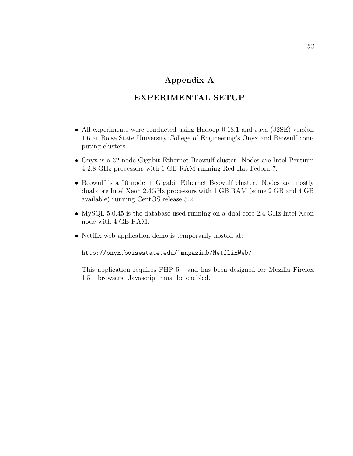# Appendix A

# EXPERIMENTAL SETUP

- All experiments were conducted using Hadoop 0.18.1 and Java (J2SE) version 1.6 at Boise State University College of Engineering's Onyx and Beowulf computing clusters.
- Onyx is a 32 node Gigabit Ethernet Beowulf cluster. Nodes are Intel Pentium 4 2.8 GHz processors with 1 GB RAM running Red Hat Fedora 7.
- Beowulf is a 50 node + Gigabit Ethernet Beowulf cluster. Nodes are mostly dual core Intel Xeon 2.4GHz processors with 1 GB RAM (some 2 GB and 4 GB available) running CentOS release 5.2.
- MySQL 5.0.45 is the database used running on a dual core 2.4 GHz Intel Xeon node with 4 GB RAM.
- Netflix web application demo is temporarily hosted at:

```
http://onyx.boisestate.edu/~mngazimb/NetflixWeb/
```
This application requires PHP 5+ and has been designed for Mozilla Firefox 1.5+ browsers. Javascript must be enabled.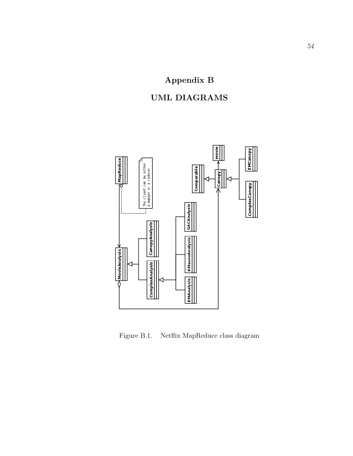# Appendix B





Figure B.1. Netflix MapReduce class diagram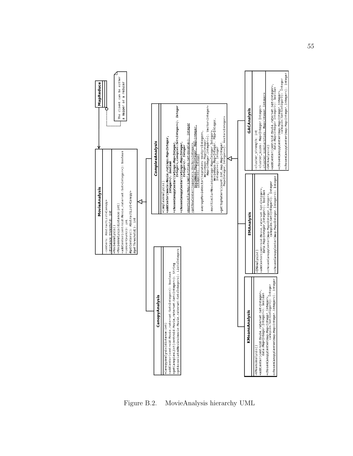

Figure B.2. MovieAnalysis hierarchy UML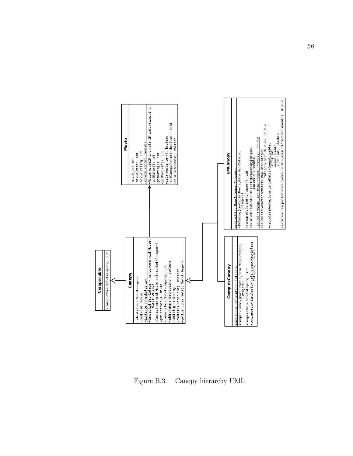

Figure B.3. Canopy hierarchy UML